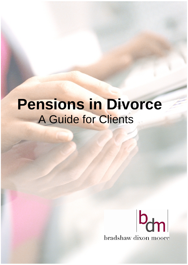# **Pensions in Divorce**  A Guide for Clients

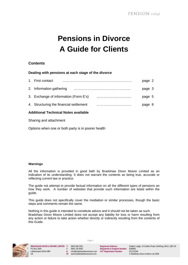# **Pensions in Divorce A Guide for Clients**

# **Contents**

# **Dealing with pensions at each stage of the divorce**

| 1. First contact                        | page 2 |  |
|-----------------------------------------|--------|--|
| 2. Information gathering                | page 3 |  |
| 3. Exchange of information (Form E's)   | page 5 |  |
| 4. Structuring the financial settlement | page 8 |  |
|                                         |        |  |

# **Additional Technical Notes available**

Sharing and attachment

Options when one or both party is in poorer health

#### **Warnings**

All the information is provided in good faith by Bradshaw Dixon Moore Limited as an indication of its understanding. It does not warrant the contents as being true, accurate or reflecting current law or practice.

The guide not attempt to provide factual information on all the different types of pensions an how they work. A number of websites that provide such information are listed within the guide.

This guide does not specifically cover the mediation or similar processes, though the basic steps and comments remain the same.

Nothing in this guide is intended to constitute advice and it should not be taken as such. Bradshaw Dixon Moore Limited does not accept any liability for loss or harm resulting from any action or failure to take action whether directly or indirectly resulting from the contents of this Guide.



**BRADSHAW DIXON & MOORE LIMITED T**: 0845 838 2551 **Registered Address**: Grafton Lodge, 15 Grafton Road, Worthing, BN11 1QR UK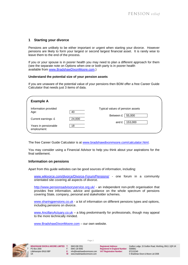#### **1 Starting your divorce**

Pensions are unlikely to be either important or urgent when starting your divorce. However pensions are likely to form your largest or second largest financial asset. It is rarely wise to leave them to the end of the process.

If you or your spouse is in poorer health you may need to plan a different approach for them (see the separate note on Options when one or both party is in poorer health available from www.BradshawDixonMoore.com.)

#### **Understand the potential size of your pension assets**

If you are unaware of the potential value of your pensions then BDM offer a free Career Guide Calculator that needs just 3 items of data.

| <b>Example A</b>                    |        |                                         |
|-------------------------------------|--------|-----------------------------------------|
| Information provided<br>Age:        | 40     | Typical values of pension assets        |
| Current earnings: £                 | 24,000 | 55,000<br>Between £<br>153,000<br>and £ |
| Years in pensionable<br>employment: | 18     |                                         |

The free Career Guide Calculator is at www.bradshawdixonmoore.com/calculator.html.

You may consider using a Financial Advisor to help you think about your aspirations for the final settlement.

#### **Information on pensions**

Apart from this guide websites can be good sources of information, including:

www.wikivorce.com/divorce/Divorce-Forum/Pensions/ - one forum in a community orientated site covering all aspects of divorce.

http://www.pensionsadvisoryservice.org.uk/ - an independent non-profit organisation that provides free information, advice and guidance on the whole spectrum of pensions covering State, company, personal and stakeholder schemes.

www.sharingpensions.co.uk - a lot of information on different pensions types and options, including pensions on divorce.

www.AncillaryActuary.co.uk – a blog predominantly for professionals, though may appeal to the more technically minded.

Page 2

www.BradshawDixonMoore.com – our own website.

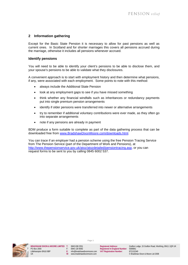# **2 Information gathering**

Except for the Basic State Pension it is necessary to allow for past pensions as well as current ones. In Scotland and for shorter marriages this covers all pensions accrued during the marriage, otherwise it includes all pensions whenever accrued.

#### **Identify pensions**

You will need to be able to identify your client's pensions to be able to disclose them, and your spouse's pensions to be able to validate what they disclosures.

A convenient approach is to start with employment history and then determine what pensions, if any, were associated with each employment. Some points to note with this method:

- always include the Additional State Pension
- look at any employment gaps to see if you have missed something
- think whether any financial windfalls such as inheritances or redundancy payments put into single premium pension arrangements
- identify if older pensions were transferred into newer or alternative arrangements
- try to remember if additional voluntary contributions were ever made, as they often go into separate arrangements
- note if any pensions are already in payment

BDM produce a form suitable to complete as part of the data gathering process that can be downloaded free from www.BradshawDixonMoore.com/downloads.html.

You can trace if an employer had a pension scheme using the free Pension Tracing Service from The Pension Service (part of the Department of Work and Pensions), at http://www.thepensionservice.gov.uk/atoz/atozdetailed/pensiontracing.asp, or you can request forms to be sent to you by calling 0845 6002 537.



E: info@bradshawdixonmoore.com **VAT Registration Number:** 872132340<br>W: www.bradshawdixonmoore.com **VAT Registration Number:** © Bradshaw Dixon & Moore I td 2008

Page 3

**BRADSHAW DIXON & MOORE LIMITED T**: 0845 838 2551 **Registered Address**: Grafton Lodge, 15 Grafton Road, Worthing, BN11 1QR UK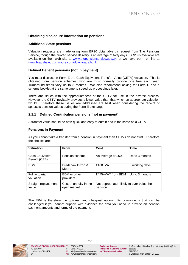# **Obtaining disclosure information on pensions**

#### **Additional State pensions**

Valuation requests are made using form BR20 obtainable by request from The Pensions Service, though the quoted service delivery is an average of forty days. BR20 is available are available on their web site at www.thepensionservice.gov.uk, or we have put it on-line at www.bradshawdixonmoore.com/downloads.html.

#### **Defined Benefit pensions (not in payment)**

You must disclose in Form E the Cash Equivalent Transfer Value (CETV) valuation. This is obtained from pension schemes, who are must normally provide one free each year. Turnaround times vary up to 3 months. We also recommend asking for Form P and a scheme booklet at the same time to speed up proceedings later.

There are issues with the appropriateness of the CETV for use in the divorce process. However the CETV inevitably provides a lower value than that which an appropriate valuation would. Therefore these issues are addressed are best when considering the receipt of spouse's pension values during the Form E exchange.

#### **2.1.1 Defined Contribution pensions (not in payment)**

A transfer value should be both quick and easy to obtain and is the same as a CETV.

#### **Pensions in Payment**

As you cannot take a transfer from a pension in payment then CETVs do not exist. Therefore the choices are:

| <b>Valuation</b>                 | <b>From</b>                           | Cost                                                  | <b>Time</b>    |
|----------------------------------|---------------------------------------|-------------------------------------------------------|----------------|
| Cash Equivalent<br>Benefit (CEB) | Pension scheme                        | An average of £500                                    | Up to 3 months |
| <b>BDM</b>                       | Bradshaw Dixon &<br>Moore             | $£100+VAT$                                            | 5 working days |
| Full actuarial<br>valuation      | <b>BDM</b> or other<br>providers      | £475+VAT from BDM                                     | Up to 3 months |
| Straight replacement<br>value    | Cost of annuity in the<br>open market | Not appropriate - likely to over-value the<br>pension |                |

The EPV is therefore the quickest and cheapest option. Its downside is that can be challenged if you cannot support with evidence the data you need to provide on pension payment amounts and terms of the payment.

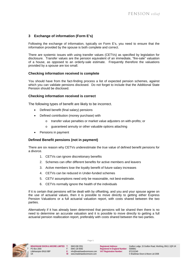# **3 Exchange of information (Form E's)**

Following the exchange of information, typically on Form E's, you need to ensure that the information provided by the spouse is both complete and correct.

There are systemic issues with using transfer values (CETVs) as specified by legislation for disclosure. Transfer values are the pension equivalent of an immediate, "fire-sale" valuation of a house, as opposed to an orderly-sale estimate. Frequently therefore the valuations provided by a spouse are too small.

#### **Checking information received is complete**

You should have from the fact-finding process a list of expected pension schemes, against which you can validate pensions disclosed. Do not forget to include that the Additional State Pension should be disclosed.

#### **Checking information received is correct**

The following types of benefit are likely to be incorrect.

- Defined benefit (final salary) pensions
- Defined contribution (money purchase) with
	- o transfer value penalties or market value adjusters on with-profits; or
	- o guaranteed annuity or other valuable options attaching
- Pensions in payment

#### **Defined Benefit pensions (not in payment)**

There are six reason why CETVs underestimate the true value of defined benefit pensions for a divorce.

- 1. CETVs can ignore discretionary benefits
- 2. Schemes can offer different benefits for active members and leavers
- 3. Active members lose the loyalty benefit of future salary increases
- 4. CETVs can be reduced in Under-funded schemes
- 5. CETV assumptions need only be reasonable, not best-estimate.
- 6. CETVs normally ignore the health of the individuals

If it is certain that pensions will be dealt with by offsetting, and you and your spouse agree on the use of actuarial values, then it is possible to move directly to getting either Express Pension Valuations or a full actuarial valuation report, with costs shared between the two parties.

Alternatively if it has already been determined that pensions will be shared then there is no need to determine an accurate valuation and it is possible to move directly to getting a full actuarial pension reallocation report, preferably with costs shared between the two parties.

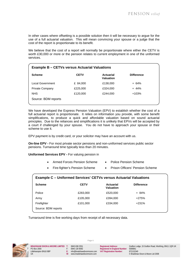In other cases where offsetting is a possible solution then it will be necessary to argue for the use of a full actuarial valuation. This will mean convincing your spouse or a judge that the cost of the report is proportionate to its benefit.

We believe that the cost of a report will normally be proportionate where either the CETV is worth £30,000 or more or the pension relates to current employment in one of the uniformed services.

| <b>Example B – CETVs versus Actuarial Valuations</b> |             |                                      |                   |  |
|------------------------------------------------------|-------------|--------------------------------------|-------------------|--|
| <b>Scheme</b>                                        | <b>CETV</b> | <b>Actuarial</b><br><b>Valuation</b> | <b>Difference</b> |  |
| Local Government                                     | £ 84,000    | £138,000                             | $+64%$            |  |
| Private Company                                      | £225,000    | £324,000                             | $+ 44%$           |  |
| <b>NHS</b>                                           | £120,000    | £244,000                             | $+103%$           |  |
| Source: BDM reports                                  |             |                                      |                   |  |
|                                                      |             |                                      |                   |  |

We have developed the Express Pension Valuation (EPV) to establish whether the cost of a full actuarial report is proportionate. It relies on information you provide, with some benefit simplifications, to produce a quick and affordable valuation based on sound actuarial principles. Due to the reliances and simplifications it is unlikely that EPVs will be accepted by a court if challenged by your spouse. You do not have to approach your spouse or their scheme to use it.

EPV payment is by credit card, or your solicitor may have an account with us.

**On-line EPV -** For most private sector pensions and non-uniformed services public sector pensions. Turnaround time typically less than 20 minutes.

**Uniformed Services EPV - For valuing pension in** 

- Armed Forces Pension Scheme Police Pension Scheme
- Fire-fighter's Pension Scheme Prison Officers' Pension Scheme

#### **Example C – Uniformed Services' CETVs versus Actuarial Valuations**

| <b>Scheme</b>       | <b>CETV</b> | <b>Actuarial</b><br><b>Valuation</b> | <b>Difference</b> |
|---------------------|-------------|--------------------------------------|-------------------|
| Police              | £283,000    | £520,000                             | + 84%             |
| Army                | £105,000    | £394,000                             | $+275%$           |
| Firefighter         | £101,000    | £334,000                             | $+231%$           |
| Source: BDM reports |             |                                      |                   |

Turnaround time is five working days from receipt of all necessary data.

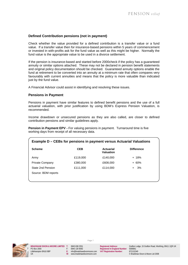#### **Defined Contribution pensions (not in payment)**

Check whether the value provided for a defined contribution is a transfer value or a fund value. If a transfer value then for insurance-based pensions within 5 years of commencement or invested in with-profits ask for the fund value as well as this might be higher. Normally the fund value is the appropriate value to be used in a divorce settlement.

If the pension is insurance-based and started before 2000check if the policy has a guaranteed annuity or similar options attached. These may not be declared in pension benefit statements and original policy documentation should be checked. Guaranteed annuity options enable the fund at retirement to be converted into an annuity at a minimum rate that often compares very favourably with current annuities and means that the policy is more valuable than indicated just by the fund value.

A Financial Advisor could assist in identifying and resolving these issues.

#### **Pensions in Payment**

Pensions in payment have similar features to defined benefit pensions and the use of a full actuarial valuation, with prior justification by using BDM's Express Pension Valuation, is recommended.

Income drawdown or unsecured pensions as they are also called, are closer to defined contribution pensions and similar guidelines apply.

**Pension in Payment EPV -** For valuing pensions in payment. Turnaround time is five working days from receipt of all necessary data.

| <b>Example D – CEBs for pensions in payment versus Actuarial Valuations</b> |            |                        |                   |  |
|-----------------------------------------------------------------------------|------------|------------------------|-------------------|--|
| <b>Scheme</b>                                                               | <b>CEB</b> | Actuarial<br>Valuation | <b>Difference</b> |  |
| Army                                                                        | £119,000   | £140,000               | + 18%             |  |
| Private Company                                                             | £380,000   | £608,000               | + 60%             |  |
| State 2nd Pension                                                           | £111,000   | £114,000               | 3%<br>$+$         |  |
| Source: BDM reports                                                         |            |                        |                   |  |
|                                                                             |            |                        |                   |  |

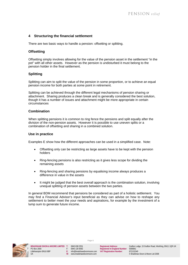# **4 Structuring the financial settlement**

There are two basic ways to handle a pension: offsetting or splitting.

#### **Offsetting**

Offsetting simply involves allowing for the value of the pension asset in the settlement "in the pot" with all other assets. However as the pension is undisturbed it must belong to the pension holder in the final settlement.

#### **Splitting**

Splitting can aim to split the value of the pension in some proportion, or to achieve an equal pension income for both parties at some point in retirement.

Splitting can be achieved through the different legal mechanisms of pension sharing or attachment. Sharing produces a clean break and is generally considered the best solution, though it has a number of issues and attachment might be more appropriate in certain circumstances

#### **Combination**

When splitting pensions it is common to ring fence the pensions and split equally after the division of the non-pension assets. However it is possible to use uneven splits or a combination of offsetting and sharing in a combined solution.

#### **Use in practice**

Examples E show how the different approaches can be used in a simplified case. Note:

- Offsetting only can be restricting as large assets have to be kept with the pension holders
- Ring-fencing pensions is also restricting as it gives less scope for dividing the remaining assets
- Ring-fencing and sharing pensions by equalising income always produces a difference in value in the assets
- It might be judged that the best overall approach is the combination solution, involving unequal splitting of pension assets between the two parties.

In general BDM recommend that pensions be considered as part of a holistic settlement. You may find a Financial Advisor's input beneficial as they can advise on how to reshape any settlement to better meet the your needs and aspirations, for example by the investment of a lump sum to generate future income.



Page 8

 **BRADSHAW DIXON & MOORE LIMITED T**: 0845 838 2551 **Registered Address**: Grafton Lodge, 15 Grafton Road, Worthing, BN11 1QR UK UK **W**: www.bradshawdixonmoore.com © Bradshaw Dixon & Moore Ltd 2008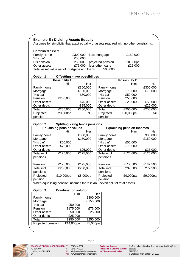|                        | <b>Example E: Dividing Assets Equally</b>                                 |                                        |                   | Assumes for simplicity that exact equality of assets required with no other constraints. |             |
|------------------------|---------------------------------------------------------------------------|----------------------------------------|-------------------|------------------------------------------------------------------------------------------|-------------|
| <b>Combined assets</b> |                                                                           |                                        |                   |                                                                                          |             |
| <b>Family Home</b>     |                                                                           | £300,000                               | less mortgage     | £150,000                                                                                 |             |
| "His car"              |                                                                           | £50,000                                |                   |                                                                                          |             |
| His pension            |                                                                           | £250,000                               | projected pension | £20,000pa                                                                                |             |
| Other assets           |                                                                           | £75,000                                | less other loans  | £25,000                                                                                  |             |
|                        | Total asset value net of mortgage and loans                               |                                        |                   |                                                                                          |             |
|                        |                                                                           |                                        | £500,000          |                                                                                          |             |
| <b>Option 1</b>        |                                                                           | Offsetting - two possibilities         |                   |                                                                                          |             |
|                        | <b>Possibility 1</b>                                                      |                                        |                   | <b>Possibility 2</b>                                                                     |             |
|                        | Him                                                                       | Her                                    |                   | <b>Him</b>                                                                               | Her         |
| Family home            |                                                                           | £300,000                               | Family home       |                                                                                          | £300,000    |
| Mortgage               |                                                                           | $-E150,000$                            | Mortgage          | $-E75,000$                                                                               | $-E75,000$  |
| "His car"              |                                                                           | £50,000                                | "His car"         | £50,000                                                                                  |             |
| Pension                | £250,000                                                                  |                                        | Pension           | £250,000                                                                                 |             |
| Other assets           |                                                                           | £75,000                                | Other assets      | £25,000                                                                                  | £50,000     |
| Other debts            |                                                                           | $-E25,000$                             | Other debts       |                                                                                          | $-E25,000$  |
| Total                  | £250,000                                                                  |                                        | Total             |                                                                                          |             |
|                        |                                                                           | £250,000                               |                   | £250,000                                                                                 | £250,000    |
| Projected              | £20,000pa                                                                 | Nil                                    | Projected         | £20,000pa                                                                                | Nil         |
| pension                |                                                                           |                                        | pension           |                                                                                          |             |
| <b>Option 2</b>        |                                                                           | <b>Splitting - ring fence pensions</b> |                   |                                                                                          |             |
|                        | <b>Equalising pension values</b>                                          |                                        |                   | <b>Equalising pension incomes</b>                                                        |             |
|                        | Him                                                                       | Her                                    |                   | Him                                                                                      | Her         |
| Family home            |                                                                           | £300,000                               | Family home       |                                                                                          | £300,000    |
| Mortgage               |                                                                           | $-E150,000$                            | Mortgage          |                                                                                          | $-E150,000$ |
| "His car"              | £50,000                                                                   |                                        | "His car"         | £50,000                                                                                  |             |
| Other assets           | £75,000                                                                   |                                        | Other assets      | £75,000                                                                                  |             |
| Other debts            |                                                                           | $-E25,000$                             | Other debts       |                                                                                          | $-E25,000$  |
| Total excl.            | £125,000                                                                  | £125,000                               | Total excl.       | £125,000                                                                                 | £125,000    |
|                        |                                                                           |                                        |                   |                                                                                          |             |
| pensions               |                                                                           |                                        | pensions          |                                                                                          |             |
| Pension                | £125,000                                                                  | £125,000                               | Pension           | £112,500                                                                                 | £137,500    |
| Total incl.            | £250,000                                                                  | £250,000                               | Total incl.       | £237,500                                                                                 | £272,500    |
| pensions               |                                                                           |                                        | pensions          |                                                                                          |             |
| Projected              |                                                                           |                                        |                   |                                                                                          |             |
|                        | £10,000pa                                                                 | £8,000pa                               | Projected         | £9,000pa                                                                                 | £9,000pa    |
| pension                | When equalising pension incomes there is an uneven split of total assets. |                                        | pension           |                                                                                          |             |
|                        |                                                                           |                                        |                   |                                                                                          |             |
| Option 3               | <b>Combination solution</b>                                               |                                        |                   |                                                                                          |             |
|                        |                                                                           | Him                                    | Her               |                                                                                          |             |
| Family home            |                                                                           | £300,000                               |                   |                                                                                          |             |
| Mortgage               |                                                                           | $-E150,000$                            |                   |                                                                                          |             |
| "His car"              |                                                                           | £50,000                                |                   |                                                                                          |             |
| Pension                |                                                                           | £175,000<br>£75,000                    |                   |                                                                                          |             |
| Other assets           |                                                                           | £50,000<br>£25,000                     |                   |                                                                                          |             |
| Other debts            |                                                                           | $-E25,000$                             |                   |                                                                                          |             |
| Total                  |                                                                           | £250,000<br>£250,000                   |                   |                                                                                          |             |
| Projected pension      | £14,000pa                                                                 | £5,000pa                               |                   |                                                                                          |             |
|                        |                                                                           |                                        |                   |                                                                                          |             |
|                        |                                                                           |                                        |                   |                                                                                          |             |



**EXADSHAW DIXON & MOORE LIMITED T:** 0845 838 2551 Registered Address: Grafton L<br>PO Box 2000 **F:** 0845 130 9092 Registered In England Number: 5586861

0845 838 2551 **Registered Address:** Grafton Lodge, 15 Grafton Road, Worthing, BN11 1QR UK<br>1945 130 9092 Registered In England Number: 5586861<br>160@bradshawdixonmoore.com VAT Registration Number: 872132340<br>6 Bradshaw Dixon & Littlehampton BN16 9BP **E**: info@bradshawdixonmoore.com VAT Registration Number: 872132340 <br>
UK Www.bradshawdixonmoore.com © Bradshaw Dixon & Moore Ltd 2008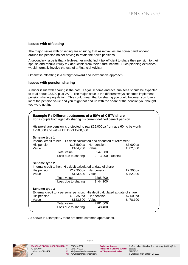# **Issues with offsetting**

The major issues with offsetting are ensuring that asset values are correct and working around the pension holder having to retain their own pensions.

A secondary issue is that a high-earner might find it tax efficient to share their pension to their spouse and rebuild it fully tax-deductible from their future income. Such planning exercises would normally involve the use of a Financial Advisor.

Otherwise offsetting is a straight-forward and inexpensive approach.

#### **Issues with pension sharing**

A minor issue with sharing is the cost. Legal, scheme and actuarial fees should be expected to total about £2,500 plus VAT. The major issue is the different ways schemes implement pension sharing legislation. This could mean that by sharing you could between you lose a lot of the pension value and you might not end up with the share of the pension you thought you were getting.

|                                       | <b>Example F: Different outcomes of a 50% of CETV share</b><br>For a couple both aged 45 sharing his current defined benefit pension        |                                              |                      |  |
|---------------------------------------|---------------------------------------------------------------------------------------------------------------------------------------------|----------------------------------------------|----------------------|--|
|                                       | His pre-share pension is projected to pay £25,000pa from age 60, to be worth<br>£250,000 and with a CETV of £200,000.                       |                                              |                      |  |
| Scheme type 1<br>His pension<br>Value | Internal credit to her. His debit calculated and deducted at retirement<br>£16,500pa<br>£164,700                                            | Her pension<br>Value                         | £7,900pa<br>£ 82,300 |  |
|                                       | Total value<br>Loss due to sharing                                                                                                          | £247,000<br>£<br>3,000                       | (costs)              |  |
| Scheme type 2<br>His pension<br>Value | Internal credit to her. His debit calculated at date of share<br>£12,350pa<br>£123,500                                                      | Her pension<br>Value                         | £7,900pa<br>£ 82,300 |  |
|                                       | Total value<br>Loss due to sharing                                                                                                          | £205,800<br>£ 44,200                         |                      |  |
| Scheme type 3<br>His pension<br>Value | External credit to a personal pension. His debit calculated at date of share<br>£12,350pa<br>£123,500<br>Total value<br>Loss due to sharing | Her pension<br>Value<br>£201,600<br>£ 48,400 | £7,500pa<br>£ 78,100 |  |
|                                       |                                                                                                                                             |                                              |                      |  |

As shown in Example G there are three common approaches.



Page 10

E: info@bradshawdixonmoore.com VAT Registration Number:

**BRADSHAW DIXON & MOORE LIMITED T**: 0845 838 2551 **Registered Address**: Grafton Lodge, 15 Grafton Road, Worthing, BN11 1QR UK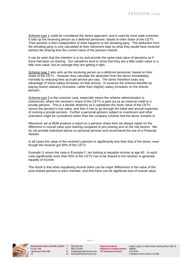Scheme type 1 could be considered the fairest approach, and is used by most state schemes. It sets up the receiving person as a deferred pensioner, based on their share of the CETV. Their pension is then independent of what happens to the donating party. The deduction from the donating party is only calculated at their retirement date as what they would have received without the sharing less the current value of the pension shared.

It can be seen that the intention is to try and provide the same total value of pensions as if there had been no sharing. Our valuations tend to show that they are a little under-value or a little over-value, but on average they are getting it right.

Scheme type 2 also sets up the receiving person as a deferred pensioner, based on their share of the CETV. However they calculate the deduction from the donor immediately, normally by reducing their accrued service pro-rata. The donor therefore loses any advantage of future salary increases on that service. In essence the scheme benefits by paying (lower) statutory increases, rather than (higher) salary increases on the shared pension.

Scheme type 3 is the common case, especially where the scheme administration is outsourced, where the receiver's share of the CETV is paid out as an external credit to a private pension. This is a double whammy as it capitalises the lower value of the CETV versus the pension's true value, and then it has to go through the initial and annual expenses of running a private pension. Further a personal pension subject to investment and other unknowns might be considered riskier than the company scheme that the donor remains in.

Whenever we at BDM produce a report on a pension share then we always report on the difference in overall value post-sharing compared to pre-sharing and on the risk factors. We do not provide individual advice on personal pension and recommend the use of a Financial Adviser.

In all cases the value of the receiver's pension is significantly less than that of the donor, even though the receiver got 50% of the CETV.

Example G reruns the case in Example F, but looking to equalise income at age 60. In each case significantly more than 50% of the CETV has to be shared to the receiver to generate equality of income.

The result is that when equalising income there can be major differences in the value of the post-shared pension to each member, and that there can be significant loss of overall value.



BRADSHAW DIXON & MOORE LIMITED T:<br>PO Box 2000 PO Box 2000 F: 0845 130 9092 **Registered In England Number: 5586861**<br>Littlehampton BN16 9BP **Fig. For Example Fig. 160** External and Computer Computer Registration Number: 8721323

Page 11

UK **W**: www.bradshawdixonmoore.com

0845 838 2551 **Registered Address:** Grafton Lodge, 15 Grafton Road, Worthing, BN11 1QR UK E: info@bradshawdixonmoore.com **VAT Registration Number:** 872132340<br>W: www.bradshawdixonmoore.com **VAT Registration Number:** © Bradshaw Dixon & Moore I td 2008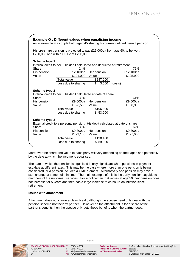|                                                                                                                                                                                                                                                                                              |                                                | <b>Example G: Different values when equalising income</b>                                                                                         |                                              | As in example F a couple both aged 45 sharing his current defined benefit pension |  |  |
|----------------------------------------------------------------------------------------------------------------------------------------------------------------------------------------------------------------------------------------------------------------------------------------------|------------------------------------------------|---------------------------------------------------------------------------------------------------------------------------------------------------|----------------------------------------------|-----------------------------------------------------------------------------------|--|--|
|                                                                                                                                                                                                                                                                                              |                                                | His pre-share pension is projected to pay £25,000pa from age 60, to be worth<br>£250,000 and with a CETV of £200,000.                             |                                              |                                                                                   |  |  |
| Scheme type 1<br>Internal credit to her. His debit calculated and deducted at retirement<br>Share<br>24%<br>76%<br>£12,100pa<br>His pension<br>Her pension<br>£12,100pa<br>Value<br>£121,000<br>Value<br>£125,900<br>Total value<br>£247,000<br>£<br>Loss due to sharing<br>3,000<br>(costs) |                                                |                                                                                                                                                   |                                              |                                                                                   |  |  |
|                                                                                                                                                                                                                                                                                              | Scheme type 2<br>Share<br>His pension<br>Value | Internal credit to her. His debit calculated at date of share<br>39%<br>£9,600pa<br>£ 96,500<br>Total value<br>Loss due to sharing                | Her pension<br>Value<br>£196,800<br>£ 53,200 | 61%<br>£9,600pa<br>£100,300                                                       |  |  |
|                                                                                                                                                                                                                                                                                              | Scheme type 3<br>Share<br>His pension<br>Value | External credit to a personal pension. His debit calculated at date of share<br>38%<br>£9,300pa<br>£ 93,100<br>Total value<br>Loss due to sharing | Her pension<br>Value<br>£190,100<br>£ 59,900 | 62%<br>£9,300pa<br>£ 97,000                                                       |  |  |

More over the share and value to each party will vary depending on their ages and potentially by the date at which the income is equalised.

The date at which the pension is equalised is only significant when pensions in payment escalate at different rates. This may be the case where more than one pension is being considered, or a pension includes a GMP element. Alternatively one pension may have a step change at some point in time. The main example of this is the early pension payable to members of the uniformed services. For a policeman that retires at age 50 their pension does not increase for 5 years and then has a large increase to catch-up on inflation since retirement.

#### **Issues with attachment**

Attachment does not create a clean break, although the spouse need only deal with the pension scheme not their ex-partner. However as the attachment is for a share of the partner's benefits then the spouse only gets those benefits when the partner does.



Page 12

E: info@bradshawdixonmoore.com **VAT Registration Number:** W: www.bradshawdixonmoore.com

0845 838 2551 **Registered Address:** Grafton Lodge, 15 Grafton Road, Worthing, BN11 1QR UK UK **W**: www.bradshawdixonmoore.com © Bradshaw Dixon & Moore Ltd 2008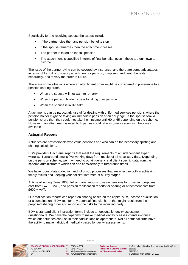Specifically for the receiving spouse the issues include:

- If the partner dies then any pension benefits stop
- if the spouse remarries then the attachment ceases
- The partner is taxed on the full pension
- The attachment is specified in terms of final benefits, even if these are unknown at divorce

The issue of the partner dying can be covered by insurance, and there are some advantages in terms of flexibility to specify attachment for pension, lump sum and death benefits separately, and to vary the order in future.

There are some situations where an attachment order might be considered in preference to a pension sharing order.

- When the spouse will not want to remarry
- When the pension holder is near to taking their pension
- When the spouse is in ill-health

Attachments can be particularly useful for dealing with uniformed services pensions where the pension holder might be taking an immediate pension at an early age. If the spouse took a pension share then they could not take their income until 60 or 65 depending on the scheme. However if an attachment is used both parties could take income as soon as it becomes available.

#### **Actuarial Reports**

Actuaries are professionals who value pensions and who can do the necessary splitting and sharing calculations.

BDM provide full actuarial reports that meet the requirements of an independent expert witness. Turnaround time is five working days from receipt of all necessary data. Depending on the pension scheme, we may need to obtain generic and client specific data from the scheme administrators which can add considerably to turnaround times.

We have robust data collection and follow-up processes that are effective both in achieving timely results and keeping your solicitor informed at all key stages.

At time of writing (June 2008) full actuarial reports to value pensions for offsetting purposes cost from £475 + VAT, and pension reallocation reports for sharing or attachment cost from £600 + VAT.

Our reallocation reports can report on sharing based on the capital sum, income equalisation or a combination. BDM test for any potential financial harm that might result from the proposed sharing order and report on the risks to the receiving party.

BDM's standard client instruction forms include an optional longevity assessment questionnaire. We have the capability to make medical longevity assessments in-house, which our actuaries can use in their calculations as appropriate. Not all actuarial firms have the ability to make individual medically based longevity assessments.



Page 13

 **BRADSHAW DIXON & MOORE LIMITED T**: 0845 838 2551 **Registered Address**: Grafton Lodge, 15 Grafton Road, Worthing, BN11 1QR UK UK **W**: www.bradshawdixonmoore.com © Bradshaw Dixon & Moore Ltd 2008